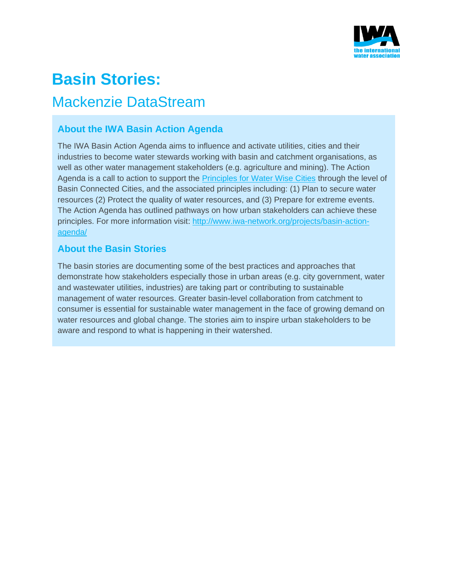

# **Basin Stories:**

## Mackenzie DataStream

### **About the IWA Basin Action Agenda**

The IWA Basin Action Agenda aims to influence and activate utilities, cities and their industries to become water stewards working with basin and catchment organisations, as well as other water management stakeholders (e.g. agriculture and mining). The Action Agenda is a call to action to support the **[Principles for Water Wise Cities](http://www.iwa-network.org/projects/water-wise-cities/) through the level of** Basin Connected Cities, and the associated principles including: (1) Plan to secure water resources (2) Protect the quality of water resources, and (3) Prepare for extreme events. The Action Agenda has outlined pathways on how urban stakeholders can achieve these principles. For more information visit: [http://www.iwa-network.org/projects/basin-action](http://www.iwa-network.org/projects/basin-action-agenda/)[agenda/](http://www.iwa-network.org/projects/basin-action-agenda/)

### **About the Basin Stories**

The basin stories are documenting some of the best practices and approaches that demonstrate how stakeholders especially those in urban areas (e.g. city government, water and wastewater utilities, industries) are taking part or contributing to sustainable management of water resources. Greater basin-level collaboration from catchment to consumer is essential for sustainable water management in the face of growing demand on water resources and global change. The stories aim to inspire urban stakeholders to be aware and respond to what is happening in their watershed.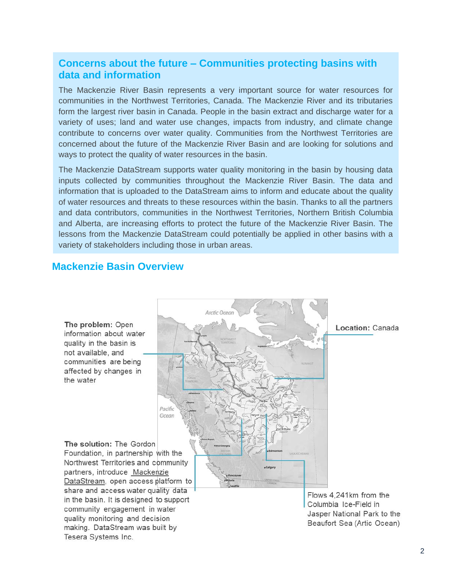### **Concerns about the future – Communities protecting basins with data and information**

The Mackenzie River Basin represents a very important source for water resources for communities in the Northwest Territories, Canada. The Mackenzie River and its tributaries form the largest river basin in Canada. People in the basin extract and discharge water for a variety of uses; land and water use changes, impacts from industry, and climate change contribute to concerns over water quality. Communities from the Northwest Territories are concerned about the future of the Mackenzie River Basin and are looking for solutions and ways to protect the quality of water resources in the basin.

The Mackenzie DataStream supports water quality monitoring in the basin by housing data inputs collected by communities throughout the Mackenzie River Basin. The data and information that is uploaded to the DataStream aims to inform and educate about the quality of water resources and threats to these resources within the basin. Thanks to all the partners and data contributors, communities in the Northwest Territories, Northern British Columbia and Alberta, are increasing efforts to protect the future of the Mackenzie River Basin. The lessons from the Mackenzie DataStream could potentially be applied in other basins with a variety of stakeholders including those in urban areas.

Arctic Ocea

### **Mackenzie Basin Overview**

The problem: Open information about water quality in the basin is not available, and communities are being affected by changes in the water

The solution: The Gordon Foundation, in partnership with the Northwest Territories and community partners, introduce Mackenzie DataStream, open access platform to share and access water quality data in the basin. It is designed to support community engagement in water quality monitoring and decision making. DataStream was built by Tesera Systems Inc.

Pacific Ocean Location: Canada

Flows 4,241km from the Columbia Ice-Field in Jasper National Park to the Beaufort Sea (Artic Ocean)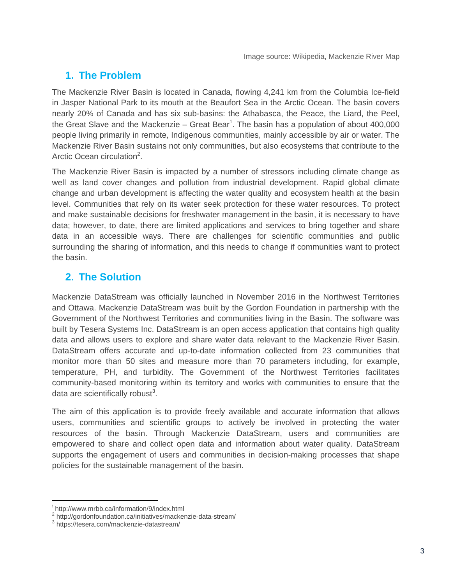### **1. The Problem**

The Mackenzie River Basin is located in Canada, flowing 4,241 km from the Columbia Ice-field in Jasper National Park to its mouth at the Beaufort Sea in the Arctic Ocean. The basin covers nearly 20% of Canada and has six sub-basins: the Athabasca, the Peace, the Liard, the Peel, the Great Slave and the Mackenzie – Great Bear<sup>1</sup>. The basin has a population of about 400,000 people living primarily in remote, Indigenous communities, mainly accessible by air or water. The Mackenzie River Basin sustains not only communities, but also ecosystems that contribute to the Arctic Ocean circulation<sup>2</sup>.

The Mackenzie River Basin is impacted by a number of stressors including climate change as well as land cover changes and pollution from industrial development. Rapid global climate change and urban development is affecting the water quality and ecosystem health at the basin level. Communities that rely on its water seek protection for these water resources. To protect and make sustainable decisions for freshwater management in the basin, it is necessary to have data; however, to date, there are limited applications and services to bring together and share data in an accessible ways. There are challenges for scientific communities and public surrounding the sharing of information, and this needs to change if communities want to protect the basin.

### **2. The Solution**

Mackenzie DataStream was officially launched in November 2016 in the Northwest Territories and Ottawa. Mackenzie DataStream was built by the Gordon Foundation in partnership with the Government of the Northwest Territories and communities living in the Basin. The software was built by Tesera Systems Inc. DataStream is an open access application that contains high quality data and allows users to explore and share water data relevant to the Mackenzie River Basin. DataStream offers accurate and up-to-date information collected from 23 communities that monitor more than 50 sites and measure more than 70 parameters including, for example, temperature, PH, and turbidity. The Government of the Northwest Territories facilitates community-based monitoring within its territory and works with communities to ensure that the data are scientifically robust<sup>3</sup>.

The aim of this application is to provide freely available and accurate information that allows users, communities and scientific groups to actively be involved in protecting the water resources of the basin. Through Mackenzie DataStream, users and communities are empowered to share and collect open data and information about water quality. DataStream supports the engagement of users and communities in decision-making processes that shape policies for the sustainable management of the basin.

l

http://www.mrbb.ca/information/9/index.html

<sup>&</sup>lt;sup>2</sup> http://gordonfoundation.ca/initiatives/mackenzie-data-stream/

<sup>3</sup> https://tesera.com/mackenzie-datastream/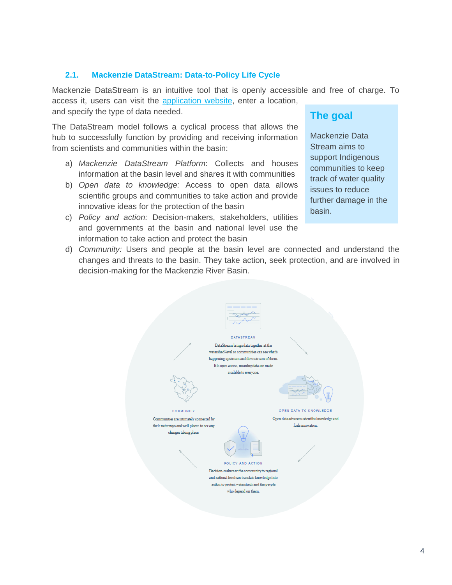#### **2.1. Mackenzie DataStream: Data-to-Policy Life Cycle**

Mackenzie DataStream is an intuitive tool that is openly accessible and free of charge. To access it, users can visit the [application website,](http://mackenziedatastream.ca/#/search) enter a location, and specify the type of data needed.

d) *Community:* Users and people at the basin level are connected and understand the changes and threats to the basin. They take action, seek protection, and are involved in

The DataStream model follows a cyclical process that allows the hub to successfully function by providing and receiving information from scientists and communities within the basin:

- a) *Mackenzie DataStream Platform*: Collects and houses information at the basin level and shares it with communities
- b) *Open data to knowledge:* Access to open data allows scientific groups and communities to take action and provide innovative ideas for the protection of the basin
- c) *Policy and action:* Decision-makers, stakeholders, utilities and governments at the basin and national level use the information to take action and protect the basin

decision-making for the Mackenzie River Basin.

### **The goal**

Mackenzie Data Stream aims to support Indigenous communities to keep track of water quality issues to reduce further damage in the basin.

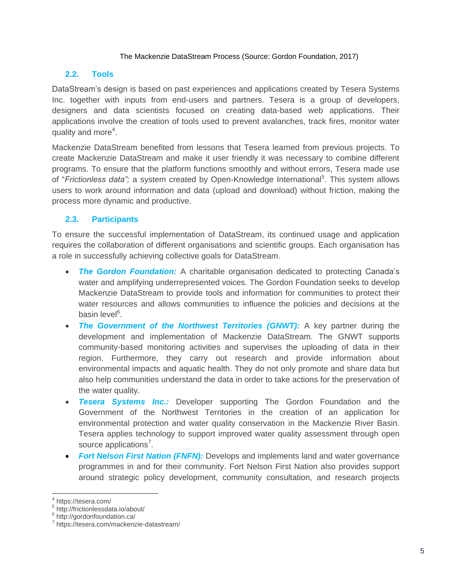#### The Mackenzie DataStream Process (Source: Gordon Foundation, 2017)

#### **2.2. Tools**

DataStream's design is based on past experiences and applications created by Tesera Systems Inc. together with inputs from end-users and partners. Tesera is a group of developers, designers and data scientists focused on creating data-based web applications. Their applications involve the creation of tools used to prevent avalanches, track fires, monitor water quality and more<sup>4</sup>.

Mackenzie DataStream benefited from lessons that Tesera learned from previous projects. To create Mackenzie DataStream and make it user friendly it was necessary to combine different programs. To ensure that the platform functions smoothly and without errors, Tesera made use of "Frictionless data"; a system created by Open-Knowledge International<sup>5</sup>. This system allows users to work around information and data (upload and download) without friction, making the process more dynamic and productive.

#### **2.3. Participants**

To ensure the successful implementation of DataStream, its continued usage and application requires the collaboration of different organisations and scientific groups. Each organisation has a role in successfully achieving collective goals for DataStream.

- **The Gordon Foundation:** A charitable organisation dedicated to protecting Canada's water and amplifying underrepresented voices. The Gordon Foundation seeks to develop Mackenzie DataStream to provide tools and information for communities to protect their water resources and allows communities to influence the policies and decisions at the basin level<sup>6</sup>.
- *The Government of the Northwest Territories (GNWT):* A key partner during the development and implementation of Mackenzie DataStream. The GNWT supports community-based monitoring activities and supervises the uploading of data in their region. Furthermore, they carry out research and provide information about environmental impacts and aquatic health. They do not only promote and share data but also help communities understand the data in order to take actions for the preservation of the water quality.
- *Tesera Systems Inc.:* Developer supporting The Gordon Foundation and the Government of the Northwest Territories in the creation of an application for environmental protection and water quality conservation in the Mackenzie River Basin. Tesera applies technology to support improved water quality assessment through open source applications<sup>7</sup>.
- *Fort Nelson First Nation (FNFN):* Develops and implements land and water governance programmes in and for their community. Fort Nelson First Nation also provides support around strategic policy development, community consultation, and research projects

 $\overline{\phantom{a}}$ 4 https://tesera.com/

<sup>5</sup> http://frictionlessdata.io/about/

<sup>&</sup>lt;sup>6</sup> http://gordonfoundation.ca/

<sup>&</sup>lt;sup>7</sup> https://tesera.com/mackenzie-datastream/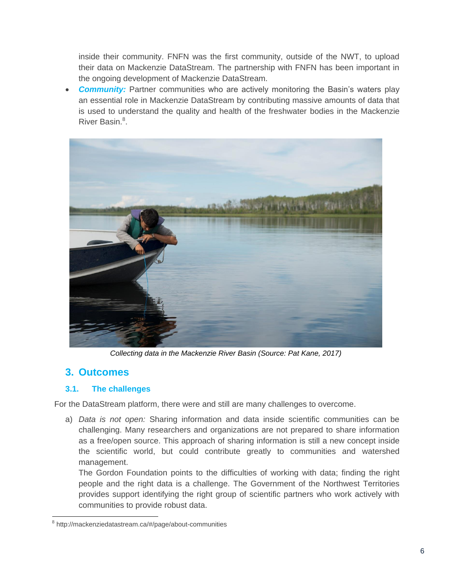inside their community. FNFN was the first community, outside of the NWT, to upload their data on Mackenzie DataStream. The partnership with FNFN has been important in the ongoing development of Mackenzie DataStream.

**Community:** Partner communities who are actively monitoring the Basin's waters play an essential role in Mackenzie DataStream by contributing massive amounts of data that is used to understand the quality and health of the freshwater bodies in the Mackenzie River Basin.<sup>8</sup>.



*Collecting data in the Mackenzie River Basin (Source: Pat Kane, 2017)*

### **3. Outcomes**

 $\overline{\phantom{a}}$ 

#### **3.1. The challenges**

For the DataStream platform, there were and still are many challenges to overcome.

a) *Data is not open:* Sharing information and data inside scientific communities can be challenging. Many researchers and organizations are not prepared to share information as a free/open source. This approach of sharing information is still a new concept inside the scientific world, but could contribute greatly to communities and watershed management.

The Gordon Foundation points to the difficulties of working with data; finding the right people and the right data is a challenge. The Government of the Northwest Territories provides support identifying the right group of scientific partners who work actively with communities to provide robust data.

<sup>&</sup>lt;sup>8</sup> http://mackenziedatastream.ca/#/page/about-communities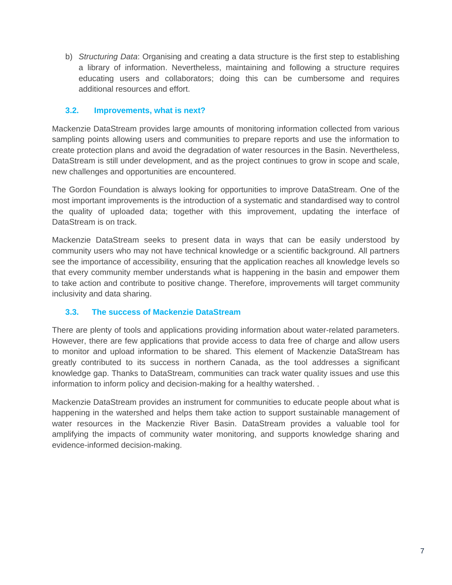b) *Structuring Data*: Organising and creating a data structure is the first step to establishing a library of information. Nevertheless, maintaining and following a structure requires educating users and collaborators; doing this can be cumbersome and requires additional resources and effort.

#### **3.2. Improvements, what is next?**

Mackenzie DataStream provides large amounts of monitoring information collected from various sampling points allowing users and communities to prepare reports and use the information to create protection plans and avoid the degradation of water resources in the Basin. Nevertheless, DataStream is still under development, and as the project continues to grow in scope and scale, new challenges and opportunities are encountered.

The Gordon Foundation is always looking for opportunities to improve DataStream. One of the most important improvements is the introduction of a systematic and standardised way to control the quality of uploaded data; together with this improvement, updating the interface of DataStream is on track.

Mackenzie DataStream seeks to present data in ways that can be easily understood by community users who may not have technical knowledge or a scientific background. All partners see the importance of accessibility, ensuring that the application reaches all knowledge levels so that every community member understands what is happening in the basin and empower them to take action and contribute to positive change. Therefore, improvements will target community inclusivity and data sharing.

#### **3.3. The success of Mackenzie DataStream**

There are plenty of tools and applications providing information about water-related parameters. However, there are few applications that provide access to data free of charge and allow users to monitor and upload information to be shared. This element of Mackenzie DataStream has greatly contributed to its success in northern Canada, as the tool addresses a significant knowledge gap. Thanks to DataStream, communities can track water quality issues and use this information to inform policy and decision-making for a healthy watershed. .

Mackenzie DataStream provides an instrument for communities to educate people about what is happening in the watershed and helps them take action to support sustainable management of water resources in the Mackenzie River Basin. DataStream provides a valuable tool for amplifying the impacts of community water monitoring, and supports knowledge sharing and evidence-informed decision-making.